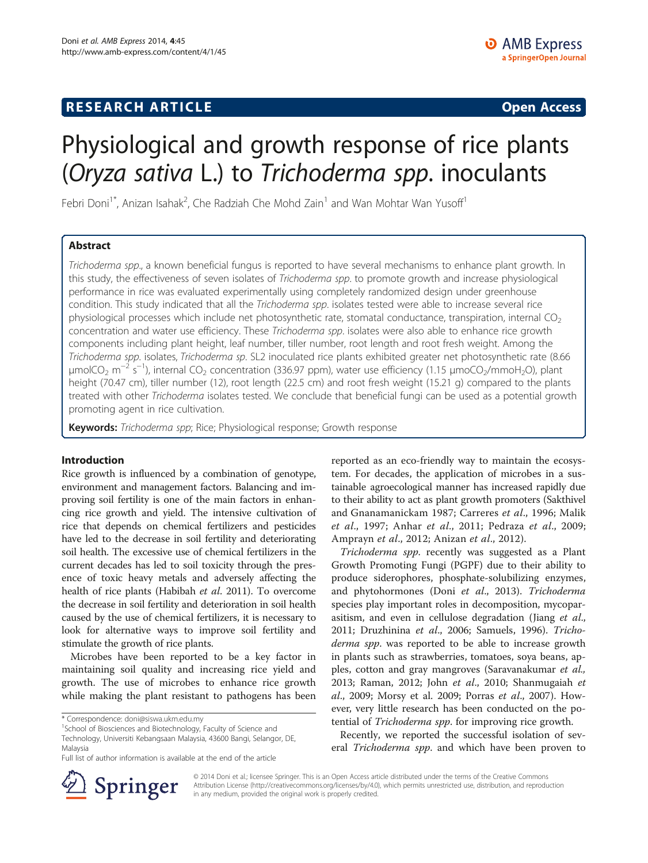## **RESEARCH ARTICLE Example 2014 CONSIDERING CONSIDERING CONSIDERING CONSIDERING CONSIDERING CONSIDERING CONSIDERING CONSIDERING CONSIDERING CONSIDERING CONSIDERING CONSIDERING CONSIDERING CONSIDERING CONSIDERING CONSIDE**

# Physiological and growth response of rice plants (Oryza sativa L.) to Trichoderma spp. inoculants

Febri Doni<sup>1\*</sup>, Anizan Isahak<sup>2</sup>, Che Radziah Che Mohd Zain<sup>1</sup> and Wan Mohtar Wan Yusoff<sup>1</sup>

## Abstract

Trichoderma spp., a known beneficial fungus is reported to have several mechanisms to enhance plant growth. In this study, the effectiveness of seven isolates of Trichoderma spp. to promote growth and increase physiological performance in rice was evaluated experimentally using completely randomized design under greenhouse condition. This study indicated that all the Trichoderma spp. isolates tested were able to increase several rice physiological processes which include net photosynthetic rate, stomatal conductance, transpiration, internal  $CO<sub>2</sub>$ concentration and water use efficiency. These Trichoderma spp. isolates were also able to enhance rice growth components including plant height, leaf number, tiller number, root length and root fresh weight. Among the Trichoderma spp. isolates, Trichoderma sp. SL2 inoculated rice plants exhibited greater net photosynthetic rate (8.66 μmolCO<sub>2</sub> m<sup>−2</sup> s<sup>−1</sup>), internal CO<sub>2</sub> concentration (336.97 ppm), water use efficiency (1.15 μmoCO<sub>2</sub>/mmoH<sub>2</sub>O), plant height (70.47 cm), tiller number (12), root length (22.5 cm) and root fresh weight (15.21 g) compared to the plants treated with other Trichoderma isolates tested. We conclude that beneficial fungi can be used as a potential growth promoting agent in rice cultivation.

Keywords: Trichoderma spp; Rice; Physiological response; Growth response

#### Introduction

Rice growth is influenced by a combination of genotype, environment and management factors. Balancing and improving soil fertility is one of the main factors in enhancing rice growth and yield. The intensive cultivation of rice that depends on chemical fertilizers and pesticides have led to the decrease in soil fertility and deteriorating soil health. The excessive use of chemical fertilizers in the current decades has led to soil toxicity through the presence of toxic heavy metals and adversely affecting the health of rice plants (Habibah et al. [2011](#page-5-0)). To overcome the decrease in soil fertility and deterioration in soil health caused by the use of chemical fertilizers, it is necessary to look for alternative ways to improve soil fertility and stimulate the growth of rice plants.

Microbes have been reported to be a key factor in maintaining soil quality and increasing rice yield and growth. The use of microbes to enhance rice growth while making the plant resistant to pathogens has been

<sup>1</sup>School of Biosciences and Biotechnology, Faculty of Science and Technology, Universiti Kebangsaan Malaysia, 43600 Bangi, Selangor, DE, Malaysia

reported as an eco-friendly way to maintain the ecosystem. For decades, the application of microbes in a sustainable agroecological manner has increased rapidly due to their ability to act as plant growth promoters (Sakthivel and Gnanamanickam [1987](#page-6-0); Carreres et al., [1996;](#page-5-0) Malik et al., [1997;](#page-5-0) Anhar et al., [2011](#page-5-0); Pedraza et al., [2009](#page-6-0); Amprayn et al., [2012;](#page-5-0) Anizan et al., [2012](#page-5-0)).

Trichoderma spp. recently was suggested as a Plant Growth Promoting Fungi (PGPF) due to their ability to produce siderophores, phosphate-solubilizing enzymes, and phytohormones (Doni et al., [2013\)](#page-5-0). Trichoderma species play important roles in decomposition, mycoparasitism, and even in cellulose degradation (Jiang et al., [2011](#page-5-0); Druzhinina et al., [2006](#page-5-0); Samuels, [1996\)](#page-6-0). Trichoderma spp. was reported to be able to increase growth in plants such as strawberries, tomatoes, soya beans, apples, cotton and gray mangroves (Saravanakumar et al., [2013](#page-6-0); Raman, [2012](#page-6-0); John et al., [2010;](#page-5-0) Shanmugaiah et al., [2009;](#page-6-0) Morsy et al. [2009;](#page-5-0) Porras et al., [2007](#page-6-0)). However, very little research has been conducted on the potential of Trichoderma spp. for improving rice growth.

Recently, we reported the successful isolation of several Trichoderma spp. and which have been proven to



© 2014 Doni et al.; licensee Springer. This is an Open Access article distributed under the terms of the Creative Commons Attribution License [\(http://creativecommons.org/licenses/by/4.0\)](http://creativecommons.org/licenses/by/4.0), which permits unrestricted use, distribution, and reproduction in any medium, provided the original work is properly credited.

<sup>\*</sup> Correspondence: [doni@siswa.ukm.edu.my](mailto:doni@siswa.ukm.edu.my) <sup>1</sup>

Full list of author information is available at the end of the article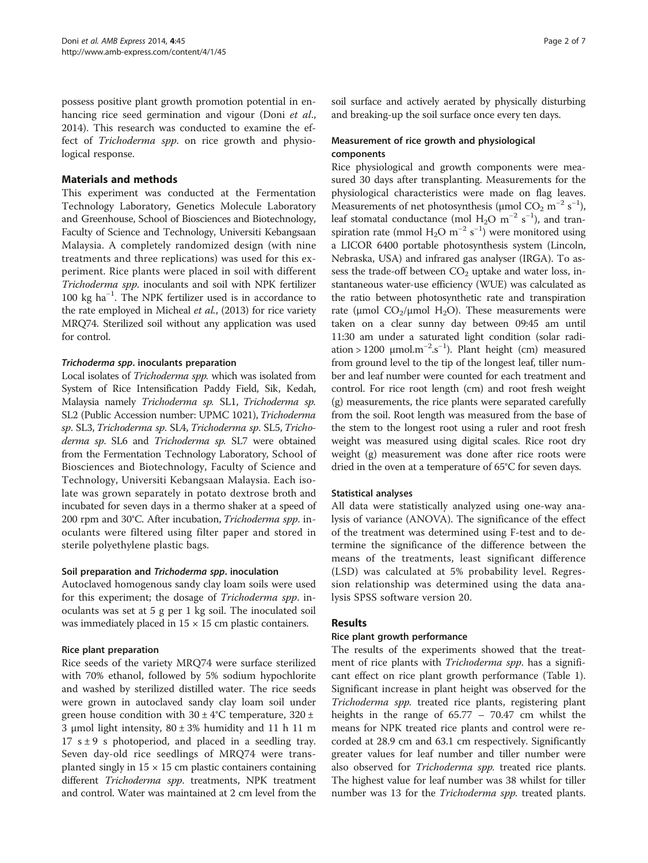possess positive plant growth promotion potential in enhancing rice seed germination and vigour (Doni et al., [2014](#page-5-0)). This research was conducted to examine the effect of Trichoderma spp. on rice growth and physiological response.

## Materials and methods

This experiment was conducted at the Fermentation Technology Laboratory, Genetics Molecule Laboratory and Greenhouse, School of Biosciences and Biotechnology, Faculty of Science and Technology, Universiti Kebangsaan Malaysia. A completely randomized design (with nine treatments and three replications) was used for this experiment. Rice plants were placed in soil with different Trichoderma spp. inoculants and soil with NPK fertilizer 100 kg ha−<sup>1</sup> . The NPK fertilizer used is in accordance to the rate employed in Micheal et al., [\(2013\)](#page-5-0) for rice variety MRQ74. Sterilized soil without any application was used for control.

## Trichoderma spp. inoculants preparation

Local isolates of Trichoderma spp. which was isolated from System of Rice Intensification Paddy Field, Sik, Kedah, Malaysia namely Trichoderma sp. SL1, Trichoderma sp. SL2 (Public Accession number: UPMC 1021), Trichoderma sp. SL3, Trichoderma sp. SL4, Trichoderma sp. SL5, Trichoderma sp. SL6 and Trichoderma sp. SL7 were obtained from the Fermentation Technology Laboratory, School of Biosciences and Biotechnology, Faculty of Science and Technology, Universiti Kebangsaan Malaysia. Each isolate was grown separately in potato dextrose broth and incubated for seven days in a thermo shaker at a speed of 200 rpm and 30°C. After incubation, Trichoderma spp. inoculants were filtered using filter paper and stored in sterile polyethylene plastic bags.

#### Soil preparation and Trichoderma spp. inoculation

Autoclaved homogenous sandy clay loam soils were used for this experiment; the dosage of Trichoderma spp. inoculants was set at 5 g per 1 kg soil. The inoculated soil was immediately placed in  $15 \times 15$  cm plastic containers.

## Rice plant preparation

Rice seeds of the variety MRQ74 were surface sterilized with 70% ethanol, followed by 5% sodium hypochlorite and washed by sterilized distilled water. The rice seeds were grown in autoclaved sandy clay loam soil under green house condition with  $30 \pm 4^{\circ}$ C temperature,  $320 \pm 4^{\circ}$ 3 μmol light intensity,  $80 ± 3%$  humidity and 11 h 11 m 17  $s \pm 9$  s photoperiod, and placed in a seedling tray. Seven day-old rice seedlings of MRQ74 were transplanted singly in  $15 \times 15$  cm plastic containers containing different Trichoderma spp. treatments, NPK treatment and control. Water was maintained at 2 cm level from the soil surface and actively aerated by physically disturbing and breaking-up the soil surface once every ten days.

## Measurement of rice growth and physiological components

Rice physiological and growth components were measured 30 days after transplanting. Measurements for the physiological characteristics were made on flag leaves. Measurements of net photosynthesis ( $\mu$ mol CO<sub>2</sub> m<sup>-2</sup> s<sup>-1</sup>), leaf stomatal conductance (mol  $H_2O$  m<sup>-2</sup> s<sup>-1</sup>), and transpiration rate (mmol  $H_2O$  m<sup>-2</sup> s<sup>-1</sup>) were monitored using a LICOR 6400 portable photosynthesis system (Lincoln, Nebraska, USA) and infrared gas analyser (IRGA). To assess the trade-off between  $CO<sub>2</sub>$  uptake and water loss, instantaneous water-use efficiency (WUE) was calculated as the ratio between photosynthetic rate and transpiration rate (μmol  $CO_2/\mu$ mol H<sub>2</sub>O). These measurements were taken on a clear sunny day between 09:45 am until 11:30 am under a saturated light condition (solar radiation > 1200  $\mu$ mol.m<sup>-2</sup>.s<sup>-1</sup>). Plant height (cm) measured from ground level to the tip of the longest leaf, tiller number and leaf number were counted for each treatment and control. For rice root length (cm) and root fresh weight (g) measurements, the rice plants were separated carefully from the soil. Root length was measured from the base of the stem to the longest root using a ruler and root fresh weight was measured using digital scales. Rice root dry weight (g) measurement was done after rice roots were dried in the oven at a temperature of 65°C for seven days.

## Statistical analyses

All data were statistically analyzed using one-way analysis of variance (ANOVA). The significance of the effect of the treatment was determined using F-test and to determine the significance of the difference between the means of the treatments, least significant difference (LSD) was calculated at 5% probability level. Regression relationship was determined using the data analysis SPSS software version 20.

## Results

#### Rice plant growth performance

The results of the experiments showed that the treatment of rice plants with *Trichoderma spp*. has a significant effect on rice plant growth performance (Table [1](#page-2-0)). Significant increase in plant height was observed for the Trichoderma spp. treated rice plants, registering plant heights in the range of 65.77 – 70.47 cm whilst the means for NPK treated rice plants and control were recorded at 28.9 cm and 63.1 cm respectively. Significantly greater values for leaf number and tiller number were also observed for *Trichoderma spp*. treated rice plants. The highest value for leaf number was 38 whilst for tiller number was 13 for the Trichoderma spp. treated plants.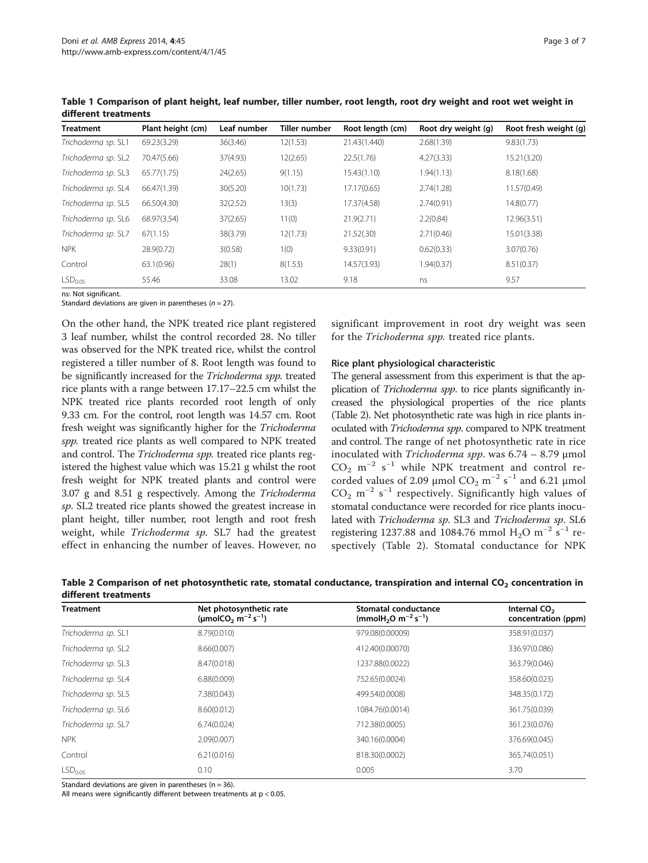| <b>Treatment</b>    | Plant height (cm) | Leaf number | Tiller number | Root length (cm) | Root dry weight (g) | Root fresh weight (g) |
|---------------------|-------------------|-------------|---------------|------------------|---------------------|-----------------------|
| Trichoderma sp. SL1 | 69.23(3.29)       | 36(3.46)    | 12(1.53)      | 21.43(1.440)     | 2.68(1.39)          | 9.83(1.73)            |
| Trichoderma sp. SL2 | 70.47(5.66)       | 37(4.93)    | 12(2.65)      | 22.5(1.76)       | 4.27(3.33)          | 15.21(3.20)           |
| Trichoderma sp. SL3 | 65.77(1.75)       | 24(2.65)    | 9(1.15)       | 15.43(1.10)      | 1.94(1.13)          | 8.18(1.68)            |
| Trichoderma sp. SL4 | 66.47(1.39)       | 30(5.20)    | 10(1.73)      | 17.17(0.65)      | 2.74(1.28)          | 11.57(0.49)           |
| Trichoderma sp. SL5 | 66.50(4.30)       | 32(2.52)    | 13(3)         | 17.37(4.58)      | 2.74(0.91)          | 14.8(0.77)            |
| Trichoderma sp. SL6 | 68.97(3.54)       | 37(2.65)    | 11(0)         | 21.9(2.71)       | 2.2(0.84)           | 12.96(3.51)           |
| Trichoderma sp. SL7 | 67(1.15)          | 38(3.79)    | 12(1.73)      | 21.52(.30)       | 2.71(0.46)          | 15.01(3.38)           |
| <b>NPK</b>          | 28.9(0.72)        | 3(0.58)     | 1(0)          | 9.33(0.91)       | 0.62(0.33)          | 3.07(0.76)            |
| Control             | 63.1(0.96)        | 28(1)       | 8(1.53)       | 14.57(3.93)      | 1.94(0.37)          | 8.51(0.37)            |
| LSD <sub>0.05</sub> | 55.46             | 33.08       | 13.02         | 9.18             | ns                  | 9.57                  |

<span id="page-2-0"></span>Table 1 Comparison of plant height, leaf number, tiller number, root length, root dry weight and root wet weight in different treatments

ns: Not significant.

Standard deviations are given in parentheses ( $n = 27$ ).

On the other hand, the NPK treated rice plant registered 3 leaf number, whilst the control recorded 28. No tiller was observed for the NPK treated rice, whilst the control registered a tiller number of 8. Root length was found to be significantly increased for the Trichoderma spp. treated rice plants with a range between 17.17–22.5 cm whilst the NPK treated rice plants recorded root length of only 9.33 cm. For the control, root length was 14.57 cm. Root fresh weight was significantly higher for the Trichoderma spp. treated rice plants as well compared to NPK treated and control. The Trichoderma spp. treated rice plants registered the highest value which was 15.21 g whilst the root fresh weight for NPK treated plants and control were 3.07 g and 8.51 g respectively. Among the Trichoderma sp. SL2 treated rice plants showed the greatest increase in plant height, tiller number, root length and root fresh weight, while Trichoderma sp. SL7 had the greatest effect in enhancing the number of leaves. However, no

significant improvement in root dry weight was seen for the Trichoderma spp. treated rice plants.

#### Rice plant physiological characteristic

The general assessment from this experiment is that the application of *Trichoderma spp*. to rice plants significantly increased the physiological properties of the rice plants (Table 2). Net photosynthetic rate was high in rice plants inoculated with Trichoderma spp. compared to NPK treatment and control. The range of net photosynthetic rate in rice inoculated with Trichoderma spp. was  $6.74 - 8.79$  µmol  $CO<sub>2</sub>$  m<sup>-2</sup> s<sup>-1</sup> while NPK treatment and control recorded values of 2.09 µmol  $CO_2$  m<sup>-2</sup> s<sup>-1</sup> and 6.21 µmol  $CO<sub>2</sub>$  m<sup>-2</sup> s<sup>-1</sup> respectively. Significantly high values of stomatal conductance were recorded for rice plants inoculated with Trichoderma sp. SL3 and Trichoderma sp. SL6 registering 1237.88 and 1084.76 mmol H<sub>2</sub>O m<sup>-2</sup> s<sup>-1</sup> respectively (Table 2). Stomatal conductance for NPK

Table 2 Comparison of net photosynthetic rate, stomatal conductance, transpiration and internal CO<sub>2</sub> concentration in different treatments

| <b>Treatment</b>    | Net photosynthetic rate<br>(umolCO <sub>2</sub> m <sup>-2</sup> s <sup>-1</sup> ) | Stomatal conductance<br>(mmolH <sub>2</sub> O m <sup>-2</sup> s <sup>-1</sup> ) | Internal CO <sub>2</sub><br>concentration (ppm) |  |
|---------------------|-----------------------------------------------------------------------------------|---------------------------------------------------------------------------------|-------------------------------------------------|--|
| Trichoderma sp. SL1 | 8.79(0.010)                                                                       | 979.08(0.00009)                                                                 | 358.91(0.037)                                   |  |
| Trichoderma sp. SL2 | 8.66(0.007)                                                                       | 412.40(0.00070)                                                                 | 336.97(0.086)                                   |  |
| Trichoderma sp. SL3 | 8.47(0.018)                                                                       | 1237.88(0.0022)                                                                 | 363.79(0.046)                                   |  |
| Trichoderma sp. SL4 | 6.88(0.009)                                                                       | 752.65(0.0024)                                                                  | 358.60(0.023)                                   |  |
| Trichoderma sp. SL5 | 7.38(0.043)                                                                       | 499.54(0.0008)                                                                  | 348.35(0.172)                                   |  |
| Trichoderma sp. SL6 | 8.60(0.012)                                                                       | 1084.76(0.0014)                                                                 | 361.75(0.039)                                   |  |
| Trichoderma sp. SL7 | 6.74(0.024)                                                                       | 712.38(0.0005)                                                                  | 361.23(0.076)                                   |  |
| <b>NPK</b>          | 2.09(0.007)                                                                       | 340.16(0.0004)                                                                  | 376.69(0.045)                                   |  |
| Control             | 6.21(0.016)                                                                       | 818.30(0.0002)                                                                  | 365.74(0.051)                                   |  |
| LSD <sub>0.05</sub> | 0.10                                                                              | 0.005                                                                           | 3.70                                            |  |

Standard deviations are given in parentheses ( $n = 36$ ).

All means were significantly different between treatments at p < 0.05.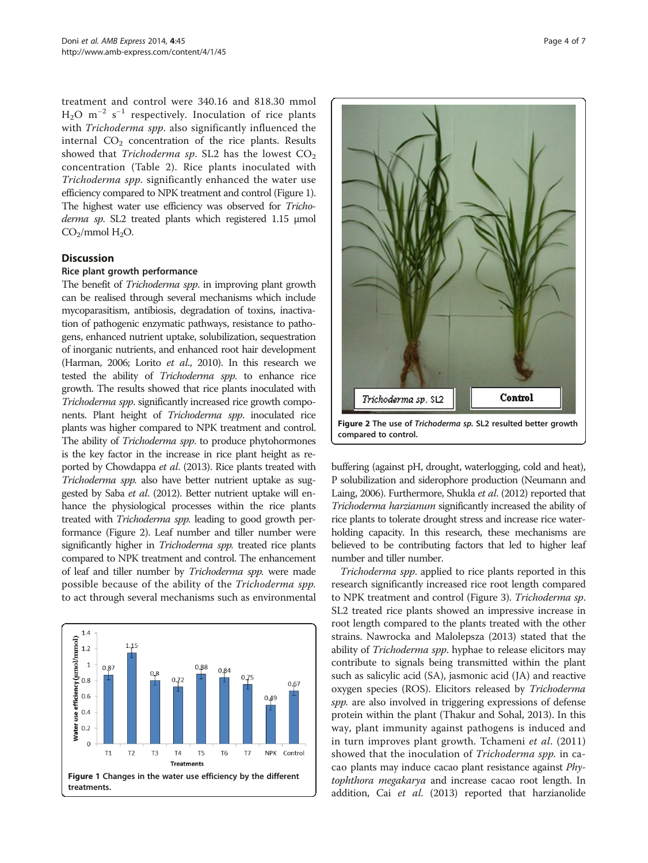<span id="page-3-0"></span>treatment and control were 340.16 and 818.30 mmol  $H_2O$  m<sup>-2</sup> s<sup>-1</sup> respectively. Inoculation of rice plants with Trichoderma spp. also significantly influenced the internal  $CO<sub>2</sub>$  concentration of the rice plants. Results showed that *Trichoderma sp*. SL2 has the lowest  $CO<sub>2</sub>$ concentration (Table [2](#page-2-0)). Rice plants inoculated with Trichoderma spp. significantly enhanced the water use efficiency compared to NPK treatment and control (Figure 1). The highest water use efficiency was observed for Trichoderma sp. SL2 treated plants which registered 1.15 μmol  $CO<sub>2</sub>/mmol$  H<sub>2</sub>O.

#### **Discussion**

#### Rice plant growth performance

The benefit of *Trichoderma spp*. in improving plant growth can be realised through several mechanisms which include mycoparasitism, antibiosis, degradation of toxins, inactivation of pathogenic enzymatic pathways, resistance to pathogens, enhanced nutrient uptake, solubilization, sequestration of inorganic nutrients, and enhanced root hair development (Harman, [2006](#page-5-0); Lorito et al., [2010](#page-5-0)). In this research we tested the ability of Trichoderma spp. to enhance rice growth. The results showed that rice plants inoculated with Trichoderma spp. significantly increased rice growth components. Plant height of Trichoderma spp. inoculated rice plants was higher compared to NPK treatment and control. The ability of Trichoderma spp. to produce phytohormones is the key factor in the increase in rice plant height as reported by Chowdappa et al. ([2013](#page-5-0)). Rice plants treated with Trichoderma spp. also have better nutrient uptake as suggested by Saba et al. ([2012](#page-6-0)). Better nutrient uptake will enhance the physiological processes within the rice plants treated with Trichoderma spp. leading to good growth performance (Figure 2). Leaf number and tiller number were significantly higher in Trichoderma spp. treated rice plants compared to NPK treatment and control. The enhancement of leaf and tiller number by Trichoderma spp. were made possible because of the ability of the Trichoderma spp. to act through several mechanisms such as environmental





buffering (against pH, drought, waterlogging, cold and heat), P solubilization and siderophore production (Neumann and Laing, [2006\)](#page-5-0). Furthermore, Shukla et al. ([2012](#page-6-0)) reported that Trichoderma harzianum significantly increased the ability of rice plants to tolerate drought stress and increase rice waterholding capacity. In this research, these mechanisms are believed to be contributing factors that led to higher leaf number and tiller number.

Trichoderma spp. applied to rice plants reported in this research significantly increased rice root length compared to NPK treatment and control (Figure [3](#page-4-0)). Trichoderma sp. SL2 treated rice plants showed an impressive increase in root length compared to the plants treated with the other strains. Nawrocka and Malolepsza [\(2013\)](#page-5-0) stated that the ability of Trichoderma spp. hyphae to release elicitors may contribute to signals being transmitted within the plant such as salicylic acid (SA), jasmonic acid (JA) and reactive oxygen species (ROS). Elicitors released by Trichoderma spp. are also involved in triggering expressions of defense protein within the plant (Thakur and Sohal, [2013](#page-6-0)). In this way, plant immunity against pathogens is induced and in turn improves plant growth. Tchameni et al. ([2011](#page-6-0)) showed that the inoculation of Trichoderma spp. in cacao plants may induce cacao plant resistance against Phytophthora megakarya and increase cacao root length. In addition, Cai et al. [\(2013\)](#page-5-0) reported that harzianolide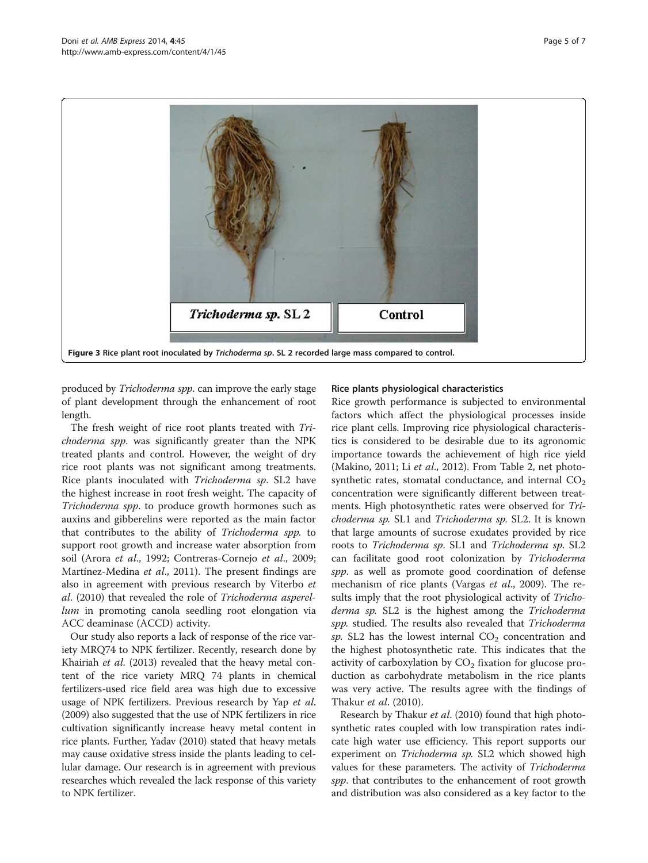<span id="page-4-0"></span>

produced by Trichoderma spp. can improve the early stage of plant development through the enhancement of root length.

The fresh weight of rice root plants treated with Trichoderma spp. was significantly greater than the NPK treated plants and control. However, the weight of dry rice root plants was not significant among treatments. Rice plants inoculated with Trichoderma sp. SL2 have the highest increase in root fresh weight. The capacity of Trichoderma spp. to produce growth hormones such as auxins and gibberelins were reported as the main factor that contributes to the ability of Trichoderma spp. to support root growth and increase water absorption from soil (Arora et al., [1992;](#page-5-0) Contreras-Cornejo et al., [2009](#page-5-0); Martínez-Medina *et al.*, [2011\)](#page-5-0). The present findings are also in agreement with previous research by Viterbo et al. [\(2010\)](#page-6-0) that revealed the role of Trichoderma asperellum in promoting canola seedling root elongation via ACC deaminase (ACCD) activity.

Our study also reports a lack of response of the rice variety MRQ74 to NPK fertilizer. Recently, research done by Khairiah et al. ([2013](#page-5-0)) revealed that the heavy metal content of the rice variety MRQ 74 plants in chemical fertilizers-used rice field area was high due to excessive usage of NPK fertilizers. Previous research by Yap et al. ([2009](#page-6-0)) also suggested that the use of NPK fertilizers in rice cultivation significantly increase heavy metal content in rice plants. Further, Yadav ([2010](#page-6-0)) stated that heavy metals may cause oxidative stress inside the plants leading to cellular damage. Our research is in agreement with previous researches which revealed the lack response of this variety to NPK fertilizer.

#### Rice plants physiological characteristics

Rice growth performance is subjected to environmental factors which affect the physiological processes inside rice plant cells. Improving rice physiological characteristics is considered to be desirable due to its agronomic importance towards the achievement of high rice yield (Makino, [2011](#page-5-0); Li et al., [2012](#page-5-0)). From Table [2,](#page-2-0) net photosynthetic rates, stomatal conductance, and internal  $CO<sub>2</sub>$ concentration were significantly different between treatments. High photosynthetic rates were observed for Trichoderma sp. SL1 and Trichoderma sp. SL2. It is known that large amounts of sucrose exudates provided by rice roots to Trichoderma sp. SL1 and Trichoderma sp. SL2 can facilitate good root colonization by Trichoderma spp. as well as promote good coordination of defense mechanism of rice plants (Vargas et al., [2009](#page-6-0)). The results imply that the root physiological activity of Trichoderma sp. SL2 is the highest among the Trichoderma spp. studied. The results also revealed that Trichoderma sp. SL2 has the lowest internal  $CO<sub>2</sub>$  concentration and the highest photosynthetic rate. This indicates that the activity of carboxylation by  $CO<sub>2</sub>$  fixation for glucose production as carbohydrate metabolism in the rice plants was very active. The results agree with the findings of Thakur et al. [\(2010\)](#page-6-0).

Research by Thakur *et al.* [\(2010\)](#page-6-0) found that high photosynthetic rates coupled with low transpiration rates indicate high water use efficiency. This report supports our experiment on *Trichoderma sp*. SL2 which showed high values for these parameters. The activity of *Trichoderma* spp. that contributes to the enhancement of root growth and distribution was also considered as a key factor to the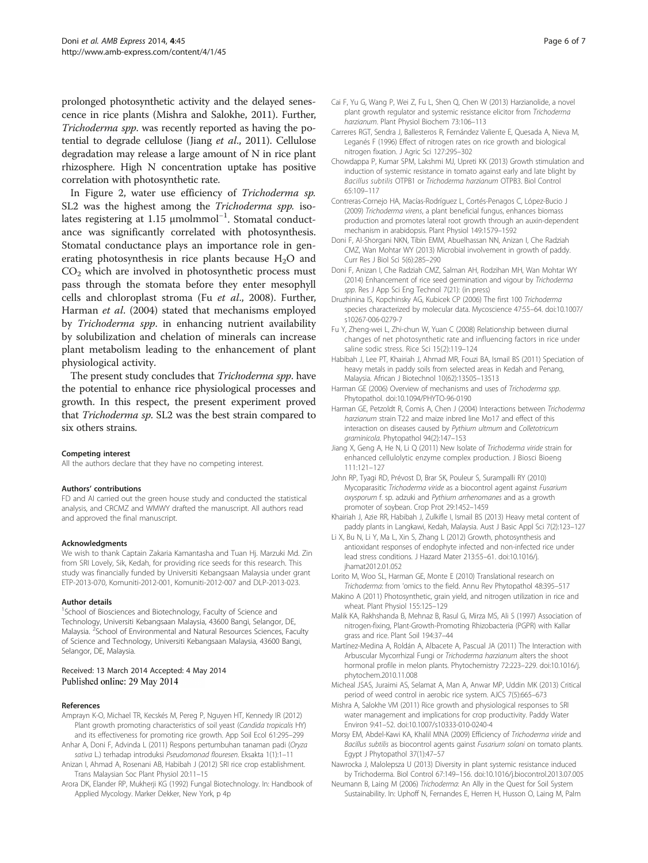<span id="page-5-0"></span>prolonged photosynthetic activity and the delayed senescence in rice plants (Mishra and Salokhe, 2011). Further, Trichoderma spp. was recently reported as having the potential to degrade cellulose (Jiang et al., 2011). Cellulose degradation may release a large amount of N in rice plant rhizosphere. High N concentration uptake has positive correlation with photosynthetic rate.

In Figure [2,](#page-3-0) water use efficiency of Trichoderma sp. SL2 was the highest among the Trichoderma spp. isolates registering at 1.15 µmolmmol<sup>-1</sup>. Stomatal conductance was significantly correlated with photosynthesis. Stomatal conductance plays an importance role in generating photosynthesis in rice plants because  $H_2O$  and  $CO<sub>2</sub>$  which are involved in photosynthetic process must pass through the stomata before they enter mesophyll cells and chloroplast stroma (Fu et al., 2008). Further, Harman et al. (2004) stated that mechanisms employed by Trichoderma spp. in enhancing nutrient availability by solubilization and chelation of minerals can increase plant metabolism leading to the enhancement of plant physiological activity.

The present study concludes that Trichoderma spp. have the potential to enhance rice physiological processes and growth. In this respect, the present experiment proved that Trichoderma sp. SL2 was the best strain compared to six others strains.

#### Competing interest

All the authors declare that they have no competing interest.

#### Authors' contributions

FD and AI carried out the green house study and conducted the statistical analysis, and CRCMZ and WMWY drafted the manuscript. All authors read and approved the final manuscript.

#### Acknowledgments

We wish to thank Captain Zakaria Kamantasha and Tuan Hj. Marzuki Md. Zin from SRI Lovely, Sik, Kedah, for providing rice seeds for this research. This study was financially funded by Universiti Kebangsaan Malaysia under grant ETP-2013-070, Komuniti-2012-001, Komuniti-2012-007 and DLP-2013-023.

#### Author details

<sup>1</sup>School of Biosciences and Biotechnology, Faculty of Science and Technology, Universiti Kebangsaan Malaysia, 43600 Bangi, Selangor, DE, Malaysia. <sup>2</sup>School of Environmental and Natural Resources Sciences, Faculty of Science and Technology, Universiti Kebangsaan Malaysia, 43600 Bangi, Selangor, DE, Malaysia.

#### Received: 13 March 2014 Accepted: 4 May 2014 Published online: 29 May 2014

#### References

- Amprayn K-O, Michael TR, Kecskés M, Pereg P, Nguyen HT, Kennedy IR (2012) Plant growth promoting characteristics of soil yeast (Candida tropicalis HY) and its effectiveness for promoting rice growth. App Soil Ecol 61:295–299 Anhar A, Doni F, Advinda L (2011) Respons pertumbuhan tanaman padi (Oryza
- sativa L.) terhadap introduksi Pseudomonad flouresen. Eksakta 1(1):1–11 Anizan I, Ahmad A, Rosenani AB, Habibah J (2012) SRI rice crop establishment.
- Trans Malaysian Soc Plant Physiol 20:11–15 Arora DK, Elander RP, Mukherji KG (1992) Fungal Biotechnology. In: Handbook of
- Applied Mycology. Marker Dekker, New York, p 4p
- Cai F, Yu G, Wang P, Wei Z, Fu L, Shen Q, Chen W (2013) Harzianolide, a novel plant growth regulator and systemic resistance elicitor from Trichoderma harzianum. Plant Physiol Biochem 73:106–113
- Carreres RGT, Sendra J, Ballesteros R, Fernández Valiente E, Quesada A, Nieva M, Leganés F (1996) Effect of nitrogen rates on rice growth and biological nitrogen fixation. J Agric Sci 127:295–302
- Chowdappa P, Kumar SPM, Lakshmi MJ, Upreti KK (2013) Growth stimulation and induction of systemic resistance in tomato against early and late blight by Bacillus subtilis OTPB1 or Trichoderma harzianum OTPB3. Biol Control 65:109–117
- Contreras-Cornejo HA, Macías-Rodríguez L, Cortés-Penagos C, López-Bucio J (2009) Trichoderma virens, a plant beneficial fungus, enhances biomass production and promotes lateral root growth through an auxin-dependent mechanism in arabidopsis. Plant Physiol 149:1579–1592
- Doni F, Al-Shorgani NKN, Tibin EMM, Abuelhassan NN, Anizan I, Che Radziah CMZ, Wan Mohtar WY (2013) Microbial involvement in growth of paddy. Curr Res J Biol Sci 5(6):285–290
- Doni F, Anizan I, Che Radziah CMZ, Salman AH, Rodzihan MH, Wan Mohtar WY (2014) Enhancement of rice seed germination and vigour by Trichoderma spp. Res J App Sci Eng Technol 7(21): (in press)
- Druzhinina IS, Kopchinsky AG, Kubicek CP (2006) The first 100 Trichoderma species characterized by molecular data. Mycoscience 47:55–64. doi:10.1007/ s10267-006-0279-7
- Fu Y, Zheng-wei L, Zhi-chun W, Yuan C (2008) Relationship between diurnal changes of net photosynthetic rate and influencing factors in rice under saline sodic stress. Rice Sci 15(2):119–124
- Habibah J, Lee PT, Khairiah J, Ahmad MR, Fouzi BA, Ismail BS (2011) Speciation of heavy metals in paddy soils from selected areas in Kedah and Penang, Malaysia. African J Biotechnol 10(62):13505–13513
- Harman GE (2006) Overview of mechanisms and uses of Trichoderma spp. Phytopathol. doi:10.1094/PHYTO-96-0190
- Harman GE, Petzoldt R, Comis A, Chen J (2004) Interactions between Trichoderma harzianum strain T22 and maize inbred line Mo17 and effect of this interaction on diseases caused by Pythium ultmum and Colletotricum graminicola. Phytopathol 94(2):147–153
- Jiang X, Geng A, He N, Li Q (2011) New Isolate of Trichoderma viride strain for enhanced cellulolytic enzyme complex production. J Biosci Bioeng 111:121–127
- John RP, Tyagi RD, Prévost D, Brar SK, Pouleur S, Surampalli RY (2010) Mycoparasitic Trichoderma viride as a biocontrol agent against Fusarium oxysporum f. sp. adzuki and Pythium arrhenomanes and as a growth promoter of soybean. Crop Prot 29:1452–1459
- Khairiah J, Azie RR, Habibah J, Zulkifle I, Ismail BS (2013) Heavy metal content of paddy plants in Langkawi, Kedah, Malaysia. Aust J Basic Appl Sci 7(2):123–127
- Li X, Bu N, Li Y, Ma L, Xin S, Zhang L (2012) Growth, photosynthesis and antioxidant responses of endophyte infected and non-infected rice under lead stress conditions. J Hazard Mater 213:55–61. doi:10.1016/j. jhamat2012.01.052
- Lorito M, Woo SL, Harman GE, Monte E (2010) Translational research on Trichoderma: from 'omics to the field. Annu Rev Phytopathol 48:395–517
- Makino A (2011) Photosynthetic, grain yield, and nitrogen utilization in rice and wheat. Plant Physiol 155:125–129
- Malik KA, Rakhshanda B, Mehnaz B, Rasul G, Mirza MS, Ali S (1997) Association of nitrogen-fixing, Plant-Growth-Promoting Rhizobacteria (PGPR) with Kallar grass and rice. Plant Soil 194:37–44
- Martínez-Medina A, Roldán A, Albacete A, Pascual JA (2011) The Interaction with Arbuscular Mycorrhizal Fungi or Trichoderma harzianum alters the shoot hormonal profile in melon plants. Phytochemistry 72:223–229. doi:10.1016/j. phytochem.2010.11.008
- Micheal JSAS, Juraimi AS, Selamat A, Man A, Anwar MP, Uddin MK (2013) Critical period of weed control in aerobic rice system. AJCS 7(5):665–673
- Mishra A, Salokhe VM (2011) Rice growth and physiological responses to SRI water management and implications for crop productivity. Paddy Water Environ 9:41–52. doi:10.1007/s10333-010-0240-4
- Morsy EM, Abdel-Kawi KA, Khalil MNA (2009) Efficiency of Trichoderma viride and Bacillus subtilis as biocontrol agents gainst Fusarium solani on tomato plants. Egypt J Phytopathol 37(1):47–57
- Nawrocka J, Malolepsza U (2013) Diversity in plant systemic resistance induced by Trichoderma. Biol Control 67:149–156. doi:10.1016/j.biocontrol.2013.07.005
- Neumann B, Laing M (2006) Trichoderma: An Ally in the Quest for Soil System Sustainability. In: Uphoff N, Fernandes E, Herren H, Husson O, Laing M, Palm